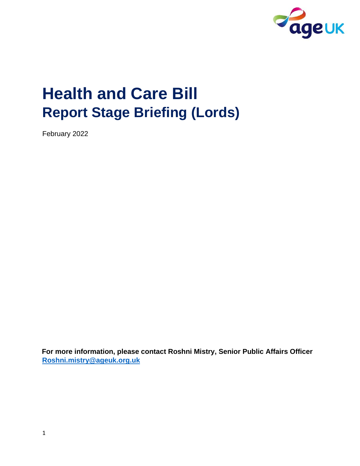

# **Health and Care Bill Report Stage Briefing (Lords)**

February 2022

**For more information, please contact Roshni Mistry, Senior Public Affairs Officer Roshni.mistry@ageuk.org.uk**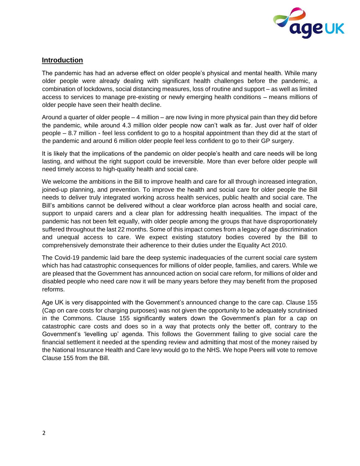

## **Introduction**

The pandemic has had an adverse effect on older people's physical and mental health. While many older people were already dealing with significant health challenges before the pandemic, a combination of lockdowns, social distancing measures, loss of routine and support – as well as limited access to services to manage pre-existing or newly emerging health conditions – means millions of older people have seen their health decline.

Around a quarter of older people – 4 million – are now living in more physical pain than they did before the pandemic, while around 4.3 million older people now can't walk as far. Just over half of older people – 8.7 million - feel less confident to go to a hospital appointment than they did at the start of the pandemic and around 6 million older people feel less confident to go to their GP surgery.

It is likely that the implications of the pandemic on older people's health and care needs will be long lasting, and without the right support could be irreversible. More than ever before older people will need timely access to high-quality health and social care.

We welcome the ambitions in the Bill to improve health and care for all through increased integration, joined-up planning, and prevention. To improve the health and social care for older people the Bill needs to deliver truly integrated working across health services, public health and social care. The Bill's ambitions cannot be delivered without a clear workforce plan across health and social care, support to unpaid carers and a clear plan for addressing health inequalities. The impact of the pandemic has not been felt equally, with older people among the groups that have disproportionately suffered throughout the last 22 months. Some of this impact comes from a legacy of age discrimination and unequal access to care. We expect existing statutory bodies covered by the Bill to comprehensively demonstrate their adherence to their duties under the Equality Act 2010.

The Covid-19 pandemic laid bare the deep systemic inadequacies of the current social care system which has had catastrophic consequences for millions of older people, families, and carers. While we are pleased that the Government has announced action on social care reform, for millions of older and disabled people who need care now it will be many years before they may benefit from the proposed reforms.

Age UK is very disappointed with the Government's announced change to the care cap. Clause 155 (Cap on care costs for charging purposes) was not given the opportunity to be adequately scrutinised in the Commons. Clause 155 significantly waters down the Government's plan for a cap on catastrophic care costs and does so in a way that protects only the better off, contrary to the Government's 'levelling up' agenda. This follows the Government failing to give social care the financial settlement it needed at the spending review and admitting that most of the money raised by the National Insurance Health and Care levy would go to the NHS. We hope Peers will vote to remove Clause 155 from the Bill.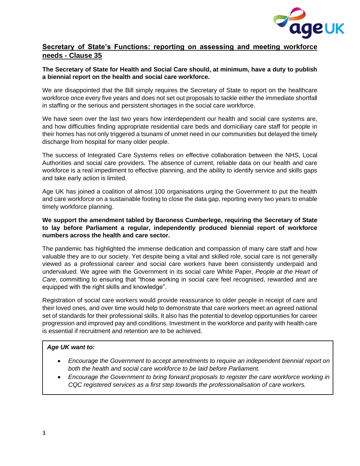

## **Secretary of State's Functions: reporting on assessing and meeting workforce needs - Clause 35**

#### **The Secretary of State for Health and Social Care should, at minimum, have a duty to publish a biennial report on the health and social care workforce.**

We are disappointed that the Bill simply requires the Secretary of State to report on the healthcare workforce once every five years and does not set out proposals to tackle either the immediate shortfall in staffing or the serious and persistent shortages in the social care workforce.

We have seen over the last two years how interdependent our health and social care systems are, and how difficulties finding appropriate residential care beds and domiciliary care staff for people in their homes has not only triggered a tsunami of unmet need in our communities but delayed the timely discharge from hospital for many older people.

The success of Integrated Care Systems relies on effective collaboration between the NHS, Local Authorities and social care providers. The absence of current, reliable data on our health and care workforce is a real impediment to effective planning, and the ability to identify service and skills gaps and take early action is limited.

Age UK has joined a coalition of almost 100 organisations urging the Government to put the health and care workforce on a sustainable footing to close the data gap, reporting every two years to enable timely workforce planning.

#### **We support the amendment tabled by Baroness Cumberlege, requiring the Secretary of State to lay before Parliament a regular, independently produced biennial report of workforce numbers across the health and care sector.**

The pandemic has highlighted the immense dedication and compassion of many care staff and how valuable they are to our society. Yet despite being a vital and skilled role, social care is not generally viewed as a professional career and social care workers have been consistently underpaid and undervalued. We agree with the Government in its social care White Paper, *People at the Heart of Care*, committing to ensuring that "those working in social care feel recognised, rewarded and are equipped with the right skills and knowledge".

Registration of social care workers would provide reassurance to older people in receipt of care and their loved ones, and over time would help to demonstrate that care workers meet an agreed national set of standards for their professional skills. It also has the potential to develop opportunities for career progression and improved pay and conditions. Investment in the workforce and parity with health care is essential if recruitment and retention are to be achieved.

#### *Age UK want to:*

- *Encourage the Government to accept amendments to require an independent biennial report on both the health and social care workforce to be laid before Parliament.*
- *Encourage the Government to bring forward proposals to register the care workforce working in CQC registered services as a first step towards the professionalisation of care workers.*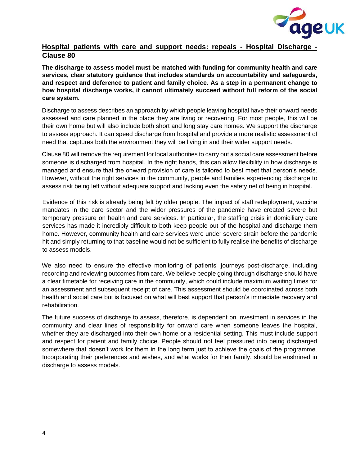

## **Hospital patients with care and support needs: repeals - Hospital Discharge - Clause 80**

**The discharge to assess model must be matched with funding for community health and care services, clear statutory guidance that includes standards on accountability and safeguards, and respect and deference to patient and family choice. As a step in a permanent change to how hospital discharge works, it cannot ultimately succeed without full reform of the social care system.** 

Discharge to assess describes an approach by which people leaving hospital have their onward needs assessed and care planned in the place they are living or recovering. For most people, this will be their own home but will also include both short and long stay care homes. We support the discharge to assess approach. It can speed discharge from hospital and provide a more realistic assessment of need that captures both the environment they will be living in and their wider support needs.

Clause 80 will remove the requirement for local authorities to carry out a social care assessment before someone is discharged from hospital. In the right hands, this can allow flexibility in how discharge is managed and ensure that the onward provision of care is tailored to best meet that person's needs. However, without the right services in the community, people and families experiencing discharge to assess risk being left without adequate support and lacking even the safety net of being in hospital.

Evidence of this risk is already being felt by older people. The impact of staff redeployment, vaccine mandates in the care sector and the wider pressures of the pandemic have created severe but temporary pressure on health and care services. In particular, the staffing crisis in domiciliary care services has made it incredibly difficult to both keep people out of the hospital and discharge them home. However, community health and care services were under severe strain before the pandemic hit and simply returning to that baseline would not be sufficient to fully realise the benefits of discharge to assess models.

We also need to ensure the effective monitoring of patients' journeys post-discharge, including recording and reviewing outcomes from care. We believe people going through discharge should have a clear timetable for receiving care in the community, which could include maximum waiting times for an assessment and subsequent receipt of care. This assessment should be coordinated across both health and social care but is focused on what will best support that person's immediate recovery and rehabilitation.

The future success of discharge to assess, therefore, is dependent on investment in services in the community and clear lines of responsibility for onward care when someone leaves the hospital, whether they are discharged into their own home or a residential setting. This must include support and respect for patient and family choice. People should not feel pressured into being discharged somewhere that doesn't work for them in the long term just to achieve the goals of the programme. Incorporating their preferences and wishes, and what works for their family, should be enshrined in discharge to assess models.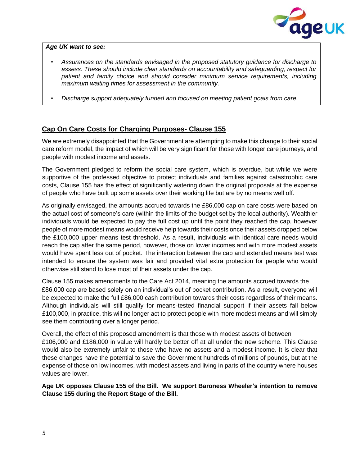

#### *Age UK want to see:*

- *Assurances on the standards envisaged in the proposed statutory guidance for discharge to assess. These should include clear standards on accountability and safeguarding, respect for patient and family choice and should consider minimum service requirements, including maximum waiting times for assessment in the community.*
- *Discharge support adequately funded and focused on meeting patient goals from care.*

## **Cap On Care Costs for Charging Purposes- Clause 155**

We are extremely disappointed that the Government are attempting to make this change to their social care reform model, the impact of which will be very significant for those with longer care journeys, and people with modest income and assets.

The Government pledged to reform the social care system, which is overdue, but while we were supportive of the professed objective to protect individuals and families against catastrophic care costs, Clause 155 has the effect of significantly watering down the original proposals at the expense of people who have built up some assets over their working life but are by no means well off.

As originally envisaged, the amounts accrued towards the £86,000 cap on care costs were based on the actual cost of someone's care (within the limits of the budget set by the local authority). Wealthier individuals would be expected to pay the full cost up until the point they reached the cap, however people of more modest means would receive help towards their costs once their assets dropped below the £100,000 upper means test threshold. As a result, individuals with identical care needs would reach the cap after the same period, however, those on lower incomes and with more modest assets would have spent less out of pocket. The interaction between the cap and extended means test was intended to ensure the system was fair and provided vital extra protection for people who would otherwise still stand to lose most of their assets under the cap.

Clause 155 makes amendments to the Care Act 2014, meaning the amounts accrued towards the £86,000 cap are based solely on an individual's out of pocket contribution. As a result, everyone will be expected to make the full £86,000 cash contribution towards their costs regardless of their means. Although individuals will still qualify for means-tested financial support if their assets fall below £100,000, in practice, this will no longer act to protect people with more modest means and will simply see them contributing over a longer period.

Overall, the effect of this proposed amendment is that those with modest assets of between £106,000 and £186,000 in value will hardly be better off at all under the new scheme. This Clause would also be extremely unfair to those who have no assets and a modest income. It is clear that these changes have the potential to save the Government hundreds of millions of pounds, but at the expense of those on low incomes, with modest assets and living in parts of the country where houses values are lower.

**Age UK opposes Clause 155 of the Bill. We support Baroness Wheeler's intention to remove Clause 155 during the Report Stage of the Bill.**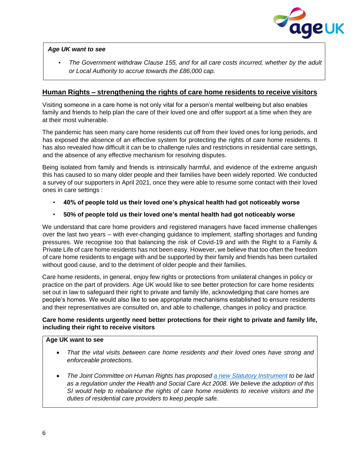

#### *Age UK want to see*

• *The Government withdraw Clause 155, and for all care costs incurred, whether by the adult or Local Authority to accrue towards the £86,000 cap.* 

### **Human Rights – strengthening the rights of care home residents to receive visitors**

Visiting someone in a care home is not only vital for a person's mental wellbeing but also enables family and friends to help plan the care of their loved one and offer support at a time when they are at their most vulnerable.

The pandemic has seen many care home residents cut off from their loved ones for long periods, and has exposed the absence of an effective system for protecting the rights of care home residents. It has also revealed how difficult it can be to challenge rules and restrictions in residential care settings, and the absence of any effective mechanism for resolving disputes.

Being isolated from family and friends is intrinsically harmful, and evidence of the extreme anguish this has caused to so many older people and their families have been widely reported. We conducted a survey of our supporters in April 2021, once they were able to resume some contact with their loved ones in care settings :

- **40% of people told us their loved one's physical health had got noticeably worse**
- **50% of people told us their loved one's mental health had got noticeably worse**

We understand that care home providers and registered managers have faced immense challenges over the last two years – with ever-changing guidance to implement, staffing shortages and funding pressures. We recognise too that balancing the risk of Covid-19 and with the Right to a Family & Private Life of care home residents has not been easy. However, we believe that too often the freedom of care home residents to engage with and be supported by their family and friends has been curtailed without good cause, and to the detriment of older people and their families.

Care home residents, in general, enjoy few rights or protections from unilateral changes in policy or practice on the part of providers. Age UK would like to see better protection for care home residents set out in law to safeguard their right to private and family life, acknowledging that care homes are people's homes. We would also like to see appropriate mechanisms established to ensure residents and their representatives are consulted on, and able to challenge, changes in policy and practice.

#### **Care home residents urgently need better protections for their right to private and family life, including their right to receive visitors**

#### **Age UK want to see**

- *That the vital visits between care home residents and their loved ones have strong and enforceable protections.*
- *The Joint Committee on Human Rights has proposed [a new Statutory Instrument](https://publications.parliament.uk/pa/jt5801/jtselect/jtrights/1375/137507.htm) to be laid as a regulation under the Health and Social Care Act 2008. We believe the adoption of this SI would help to rebalance the rights of care home residents to receive visitors and the duties of residential care providers to keep people safe.*